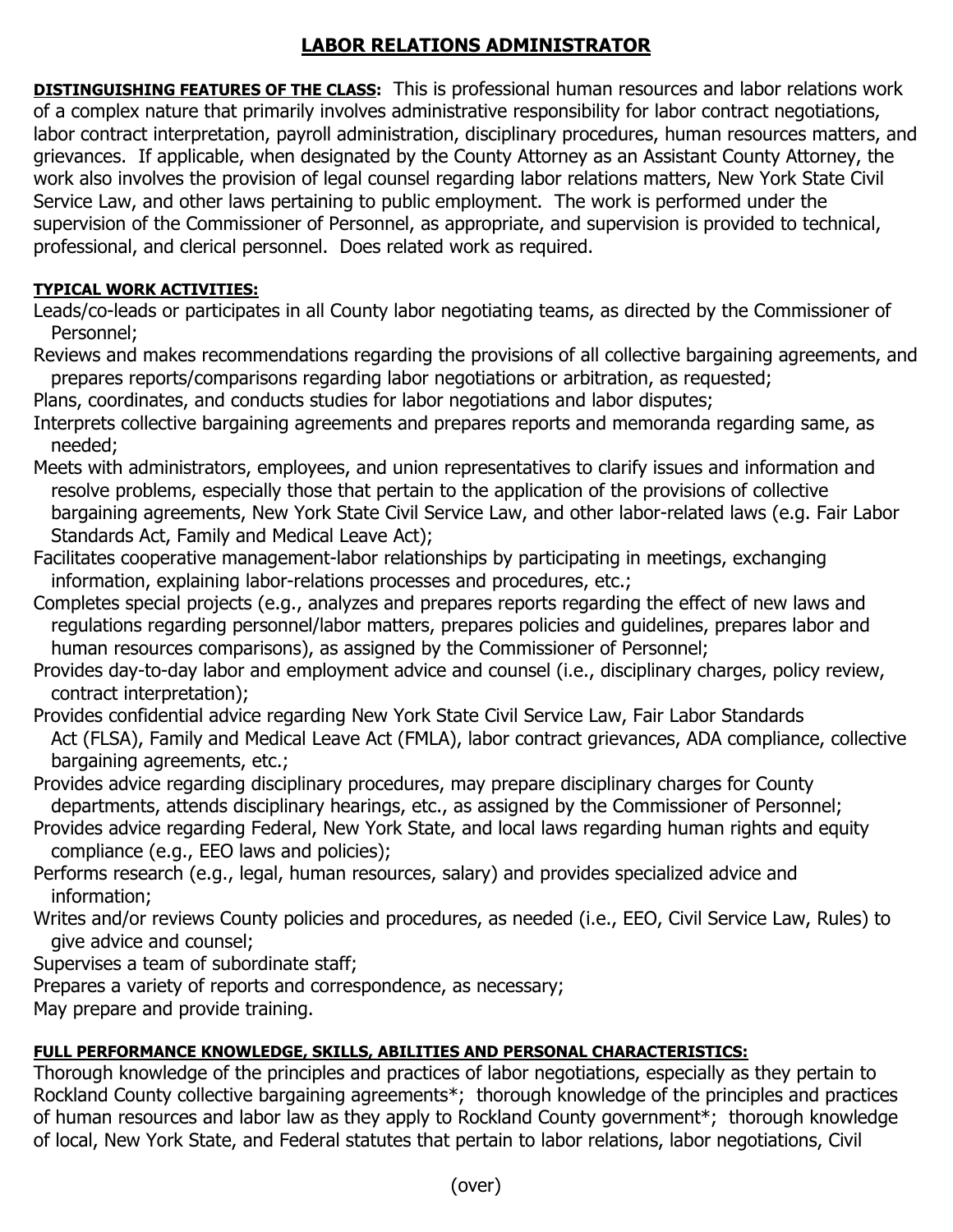# **LABOR RELATIONS ADMINISTRATOR**

**DISTINGUISHING FEATURES OF THE CLASS:** This is professional human resources and labor relations work of a complex nature that primarily involves administrative responsibility for labor contract negotiations, labor contract interpretation, payroll administration, disciplinary procedures, human resources matters, and grievances. If applicable, when designated by the County Attorney as an Assistant County Attorney, the work also involves the provision of legal counsel regarding labor relations matters, New York State Civil Service Law, and other laws pertaining to public employment. The work is performed under the supervision of the Commissioner of Personnel, as appropriate, and supervision is provided to technical, professional, and clerical personnel. Does related work as required.

## **TYPICAL WORK ACTIVITIES:**

- Leads/co-leads or participates in all County labor negotiating teams, as directed by the Commissioner of Personnel;
- Reviews and makes recommendations regarding the provisions of all collective bargaining agreements, and prepares reports/comparisons regarding labor negotiations or arbitration, as requested;
- Plans, coordinates, and conducts studies for labor negotiations and labor disputes;
- Interprets collective bargaining agreements and prepares reports and memoranda regarding same, as needed;
- Meets with administrators, employees, and union representatives to clarify issues and information and resolve problems, especially those that pertain to the application of the provisions of collective bargaining agreements, New York State Civil Service Law, and other labor-related laws (e.g. Fair Labor Standards Act, Family and Medical Leave Act);
- Facilitates cooperative management-labor relationships by participating in meetings, exchanging information, explaining labor-relations processes and procedures, etc.;
- Completes special projects (e.g., analyzes and prepares reports regarding the effect of new laws and regulations regarding personnel/labor matters, prepares policies and guidelines, prepares labor and human resources comparisons), as assigned by the Commissioner of Personnel;
- Provides day-to-day labor and employment advice and counsel (i.e., disciplinary charges, policy review, contract interpretation);
- Provides confidential advice regarding New York State Civil Service Law, Fair Labor Standards Act (FLSA), Family and Medical Leave Act (FMLA), labor contract grievances, ADA compliance, collective bargaining agreements, etc.;
- Provides advice regarding disciplinary procedures, may prepare disciplinary charges for County departments, attends disciplinary hearings, etc., as assigned by the Commissioner of Personnel;
- Provides advice regarding Federal, New York State, and local laws regarding human rights and equity compliance (e.g., EEO laws and policies);
- Performs research (e.g., legal, human resources, salary) and provides specialized advice and information;
- Writes and/or reviews County policies and procedures, as needed (i.e., EEO, Civil Service Law, Rules) to give advice and counsel;
- Supervises a team of subordinate staff;
- Prepares a variety of reports and correspondence, as necessary;
- May prepare and provide training.

### **FULL PERFORMANCE KNOWLEDGE, SKILLS, ABILITIES AND PERSONAL CHARACTERISTICS:**

Thorough knowledge of the principles and practices of labor negotiations, especially as they pertain to Rockland County collective bargaining agreements\*; thorough knowledge of the principles and practices of human resources and labor law as they apply to Rockland County government\*; thorough knowledge of local, New York State, and Federal statutes that pertain to labor relations, labor negotiations, Civil